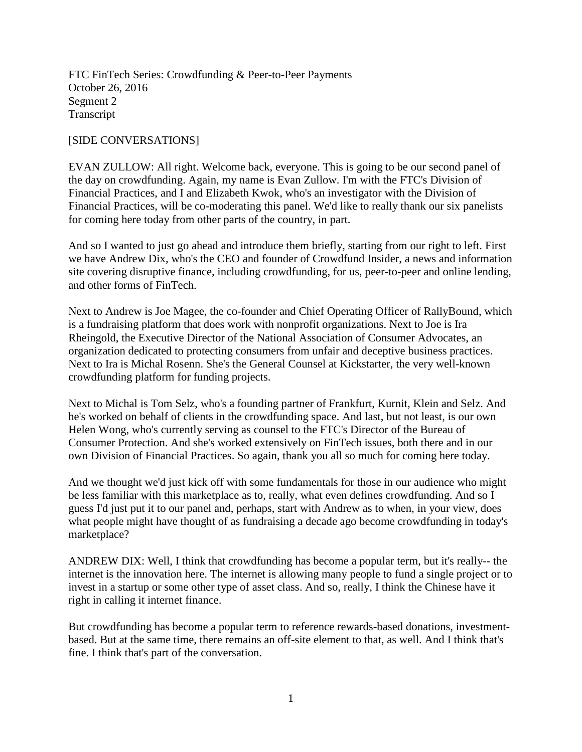FTC FinTech Series: Crowdfunding & Peer-to-Peer Payments October 26, 2016 Segment 2 Transcript

#### [SIDE CONVERSATIONS]

EVAN ZULLOW: All right. Welcome back, everyone. This is going to be our second panel of the day on crowdfunding. Again, my name is Evan Zullow. I'm with the FTC's Division of Financial Practices, and I and Elizabeth Kwok, who's an investigator with the Division of Financial Practices, will be co-moderating this panel. We'd like to really thank our six panelists for coming here today from other parts of the country, in part.

And so I wanted to just go ahead and introduce them briefly, starting from our right to left. First we have Andrew Dix, who's the CEO and founder of Crowdfund Insider, a news and information site covering disruptive finance, including crowdfunding, for us, peer-to-peer and online lending, and other forms of FinTech.

Next to Andrew is Joe Magee, the co-founder and Chief Operating Officer of RallyBound, which is a fundraising platform that does work with nonprofit organizations. Next to Joe is Ira Rheingold, the Executive Director of the National Association of Consumer Advocates, an organization dedicated to protecting consumers from unfair and deceptive business practices. Next to Ira is Michal Rosenn. She's the General Counsel at Kickstarter, the very well-known crowdfunding platform for funding projects.

Next to Michal is Tom Selz, who's a founding partner of Frankfurt, Kurnit, Klein and Selz. And he's worked on behalf of clients in the crowdfunding space. And last, but not least, is our own Helen Wong, who's currently serving as counsel to the FTC's Director of the Bureau of Consumer Protection. And she's worked extensively on FinTech issues, both there and in our own Division of Financial Practices. So again, thank you all so much for coming here today.

And we thought we'd just kick off with some fundamentals for those in our audience who might be less familiar with this marketplace as to, really, what even defines crowdfunding. And so I guess I'd just put it to our panel and, perhaps, start with Andrew as to when, in your view, does what people might have thought of as fundraising a decade ago become crowdfunding in today's marketplace?

ANDREW DIX: Well, I think that crowdfunding has become a popular term, but it's really-- the internet is the innovation here. The internet is allowing many people to fund a single project or to invest in a startup or some other type of asset class. And so, really, I think the Chinese have it right in calling it internet finance.

But crowdfunding has become a popular term to reference rewards-based donations, investmentbased. But at the same time, there remains an off-site element to that, as well. And I think that's fine. I think that's part of the conversation.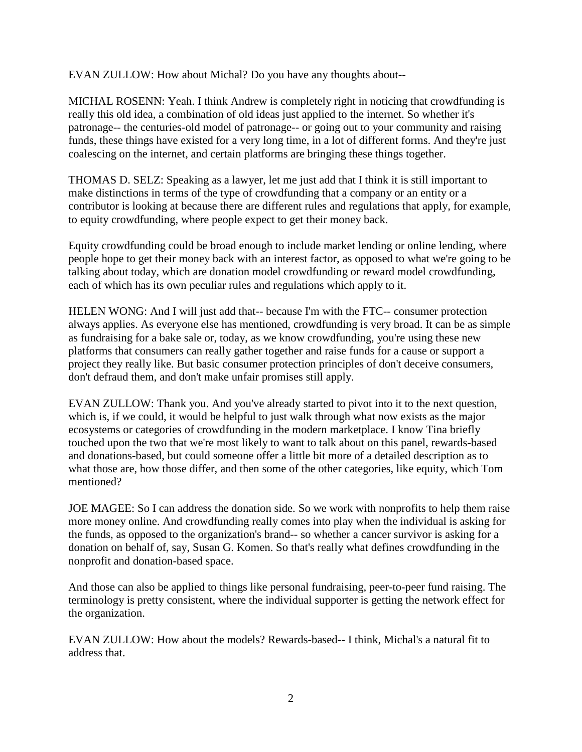EVAN ZULLOW: How about Michal? Do you have any thoughts about--

MICHAL ROSENN: Yeah. I think Andrew is completely right in noticing that crowdfunding is really this old idea, a combination of old ideas just applied to the internet. So whether it's patronage-- the centuries-old model of patronage-- or going out to your community and raising funds, these things have existed for a very long time, in a lot of different forms. And they're just coalescing on the internet, and certain platforms are bringing these things together.

THOMAS D. SELZ: Speaking as a lawyer, let me just add that I think it is still important to make distinctions in terms of the type of crowdfunding that a company or an entity or a contributor is looking at because there are different rules and regulations that apply, for example, to equity crowdfunding, where people expect to get their money back.

Equity crowdfunding could be broad enough to include market lending or online lending, where people hope to get their money back with an interest factor, as opposed to what we're going to be talking about today, which are donation model crowdfunding or reward model crowdfunding, each of which has its own peculiar rules and regulations which apply to it.

HELEN WONG: And I will just add that-- because I'm with the FTC-- consumer protection always applies. As everyone else has mentioned, crowdfunding is very broad. It can be as simple as fundraising for a bake sale or, today, as we know crowdfunding, you're using these new platforms that consumers can really gather together and raise funds for a cause or support a project they really like. But basic consumer protection principles of don't deceive consumers, don't defraud them, and don't make unfair promises still apply.

EVAN ZULLOW: Thank you. And you've already started to pivot into it to the next question, which is, if we could, it would be helpful to just walk through what now exists as the major ecosystems or categories of crowdfunding in the modern marketplace. I know Tina briefly touched upon the two that we're most likely to want to talk about on this panel, rewards-based and donations-based, but could someone offer a little bit more of a detailed description as to what those are, how those differ, and then some of the other categories, like equity, which Tom mentioned?

JOE MAGEE: So I can address the donation side. So we work with nonprofits to help them raise more money online. And crowdfunding really comes into play when the individual is asking for the funds, as opposed to the organization's brand-- so whether a cancer survivor is asking for a donation on behalf of, say, Susan G. Komen. So that's really what defines crowdfunding in the nonprofit and donation-based space.

And those can also be applied to things like personal fundraising, peer-to-peer fund raising. The terminology is pretty consistent, where the individual supporter is getting the network effect for the organization.

EVAN ZULLOW: How about the models? Rewards-based-- I think, Michal's a natural fit to address that.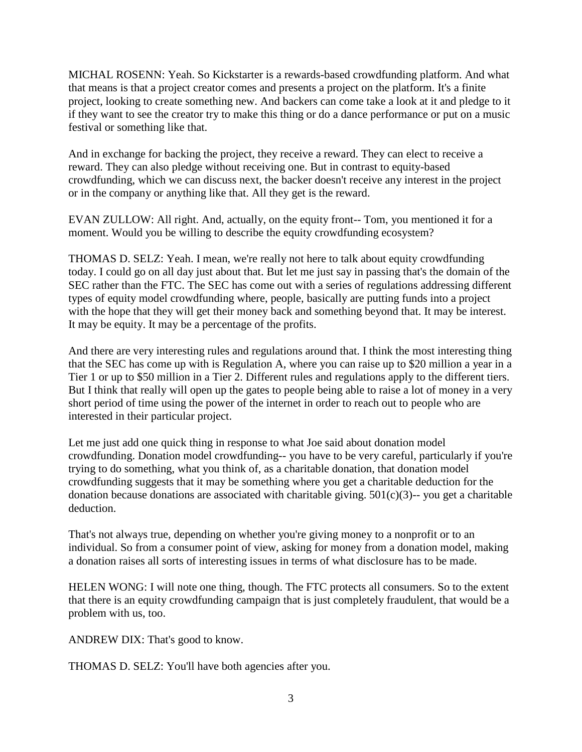MICHAL ROSENN: Yeah. So Kickstarter is a rewards-based crowdfunding platform. And what that means is that a project creator comes and presents a project on the platform. It's a finite project, looking to create something new. And backers can come take a look at it and pledge to it if they want to see the creator try to make this thing or do a dance performance or put on a music festival or something like that.

And in exchange for backing the project, they receive a reward. They can elect to receive a reward. They can also pledge without receiving one. But in contrast to equity-based crowdfunding, which we can discuss next, the backer doesn't receive any interest in the project or in the company or anything like that. All they get is the reward.

EVAN ZULLOW: All right. And, actually, on the equity front-- Tom, you mentioned it for a moment. Would you be willing to describe the equity crowdfunding ecosystem?

THOMAS D. SELZ: Yeah. I mean, we're really not here to talk about equity crowdfunding today. I could go on all day just about that. But let me just say in passing that's the domain of the SEC rather than the FTC. The SEC has come out with a series of regulations addressing different types of equity model crowdfunding where, people, basically are putting funds into a project with the hope that they will get their money back and something beyond that. It may be interest. It may be equity. It may be a percentage of the profits.

And there are very interesting rules and regulations around that. I think the most interesting thing that the SEC has come up with is Regulation A, where you can raise up to \$20 million a year in a Tier 1 or up to \$50 million in a Tier 2. Different rules and regulations apply to the different tiers. But I think that really will open up the gates to people being able to raise a lot of money in a very short period of time using the power of the internet in order to reach out to people who are interested in their particular project.

Let me just add one quick thing in response to what Joe said about donation model crowdfunding. Donation model crowdfunding-- you have to be very careful, particularly if you're trying to do something, what you think of, as a charitable donation, that donation model crowdfunding suggests that it may be something where you get a charitable deduction for the donation because donations are associated with charitable giving.  $501(c)(3)$ -- you get a charitable deduction.

That's not always true, depending on whether you're giving money to a nonprofit or to an individual. So from a consumer point of view, asking for money from a donation model, making a donation raises all sorts of interesting issues in terms of what disclosure has to be made.

HELEN WONG: I will note one thing, though. The FTC protects all consumers. So to the extent that there is an equity crowdfunding campaign that is just completely fraudulent, that would be a problem with us, too.

ANDREW DIX: That's good to know.

THOMAS D. SELZ: You'll have both agencies after you.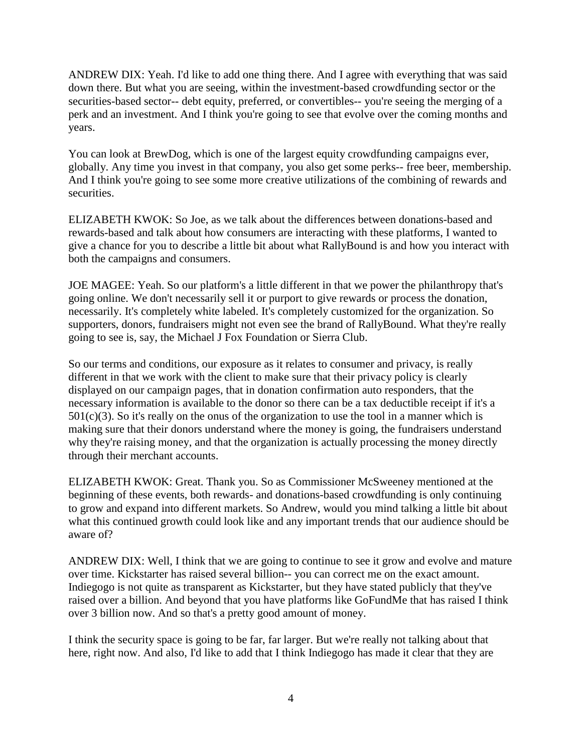ANDREW DIX: Yeah. I'd like to add one thing there. And I agree with everything that was said down there. But what you are seeing, within the investment-based crowdfunding sector or the securities-based sector-- debt equity, preferred, or convertibles-- you're seeing the merging of a perk and an investment. And I think you're going to see that evolve over the coming months and years.

You can look at BrewDog, which is one of the largest equity crowdfunding campaigns ever, globally. Any time you invest in that company, you also get some perks-- free beer, membership. And I think you're going to see some more creative utilizations of the combining of rewards and securities.

ELIZABETH KWOK: So Joe, as we talk about the differences between donations-based and rewards-based and talk about how consumers are interacting with these platforms, I wanted to give a chance for you to describe a little bit about what RallyBound is and how you interact with both the campaigns and consumers.

JOE MAGEE: Yeah. So our platform's a little different in that we power the philanthropy that's going online. We don't necessarily sell it or purport to give rewards or process the donation, necessarily. It's completely white labeled. It's completely customized for the organization. So supporters, donors, fundraisers might not even see the brand of RallyBound. What they're really going to see is, say, the Michael J Fox Foundation or Sierra Club.

So our terms and conditions, our exposure as it relates to consumer and privacy, is really different in that we work with the client to make sure that their privacy policy is clearly displayed on our campaign pages, that in donation confirmation auto responders, that the necessary information is available to the donor so there can be a tax deductible receipt if it's a  $501(c)(3)$ . So it's really on the onus of the organization to use the tool in a manner which is making sure that their donors understand where the money is going, the fundraisers understand why they're raising money, and that the organization is actually processing the money directly through their merchant accounts.

ELIZABETH KWOK: Great. Thank you. So as Commissioner McSweeney mentioned at the beginning of these events, both rewards- and donations-based crowdfunding is only continuing to grow and expand into different markets. So Andrew, would you mind talking a little bit about what this continued growth could look like and any important trends that our audience should be aware of?

ANDREW DIX: Well, I think that we are going to continue to see it grow and evolve and mature over time. Kickstarter has raised several billion-- you can correct me on the exact amount. Indiegogo is not quite as transparent as Kickstarter, but they have stated publicly that they've raised over a billion. And beyond that you have platforms like GoFundMe that has raised I think over 3 billion now. And so that's a pretty good amount of money.

I think the security space is going to be far, far larger. But we're really not talking about that here, right now. And also, I'd like to add that I think Indiegogo has made it clear that they are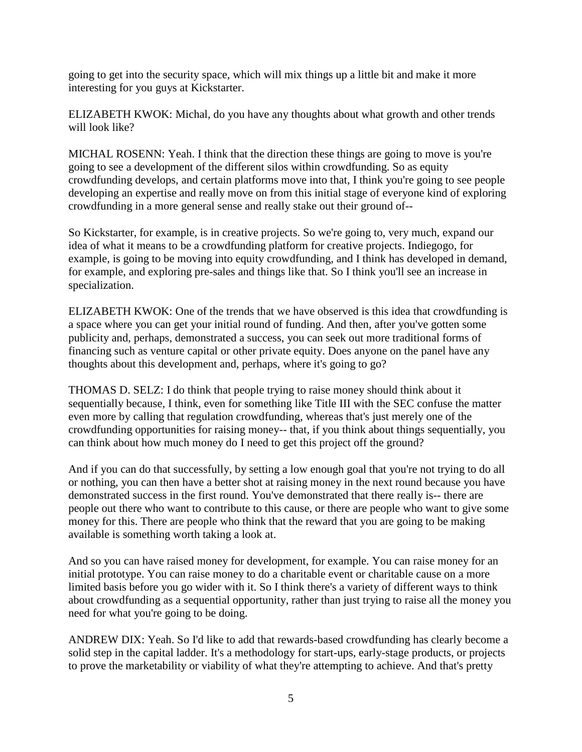going to get into the security space, which will mix things up a little bit and make it more interesting for you guys at Kickstarter.

ELIZABETH KWOK: Michal, do you have any thoughts about what growth and other trends will look like?

MICHAL ROSENN: Yeah. I think that the direction these things are going to move is you're going to see a development of the different silos within crowdfunding. So as equity crowdfunding develops, and certain platforms move into that, I think you're going to see people developing an expertise and really move on from this initial stage of everyone kind of exploring crowdfunding in a more general sense and really stake out their ground of--

So Kickstarter, for example, is in creative projects. So we're going to, very much, expand our idea of what it means to be a crowdfunding platform for creative projects. Indiegogo, for example, is going to be moving into equity crowdfunding, and I think has developed in demand, for example, and exploring pre-sales and things like that. So I think you'll see an increase in specialization.

ELIZABETH KWOK: One of the trends that we have observed is this idea that crowdfunding is a space where you can get your initial round of funding. And then, after you've gotten some publicity and, perhaps, demonstrated a success, you can seek out more traditional forms of financing such as venture capital or other private equity. Does anyone on the panel have any thoughts about this development and, perhaps, where it's going to go?

THOMAS D. SELZ: I do think that people trying to raise money should think about it sequentially because, I think, even for something like Title III with the SEC confuse the matter even more by calling that regulation crowdfunding, whereas that's just merely one of the crowdfunding opportunities for raising money-- that, if you think about things sequentially, you can think about how much money do I need to get this project off the ground?

And if you can do that successfully, by setting a low enough goal that you're not trying to do all or nothing, you can then have a better shot at raising money in the next round because you have demonstrated success in the first round. You've demonstrated that there really is-- there are people out there who want to contribute to this cause, or there are people who want to give some money for this. There are people who think that the reward that you are going to be making available is something worth taking a look at.

And so you can have raised money for development, for example. You can raise money for an initial prototype. You can raise money to do a charitable event or charitable cause on a more limited basis before you go wider with it. So I think there's a variety of different ways to think about crowdfunding as a sequential opportunity, rather than just trying to raise all the money you need for what you're going to be doing.

ANDREW DIX: Yeah. So I'd like to add that rewards-based crowdfunding has clearly become a solid step in the capital ladder. It's a methodology for start-ups, early-stage products, or projects to prove the marketability or viability of what they're attempting to achieve. And that's pretty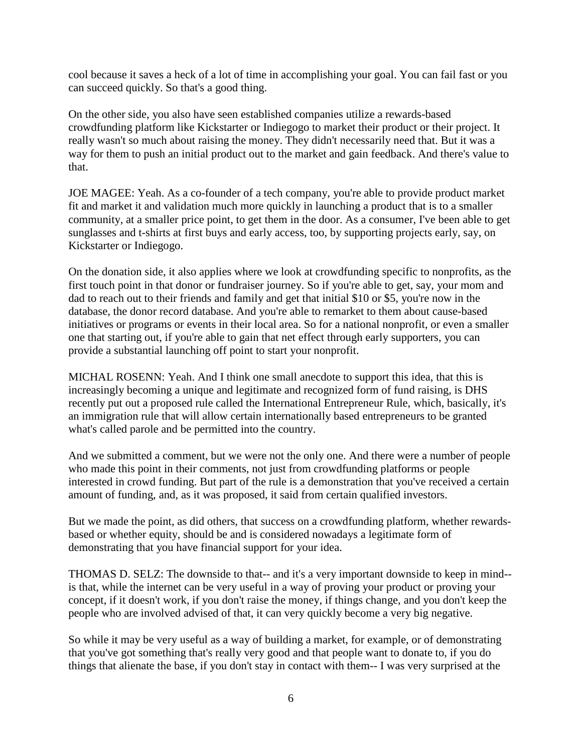cool because it saves a heck of a lot of time in accomplishing your goal. You can fail fast or you can succeed quickly. So that's a good thing.

On the other side, you also have seen established companies utilize a rewards-based crowdfunding platform like Kickstarter or Indiegogo to market their product or their project. It really wasn't so much about raising the money. They didn't necessarily need that. But it was a way for them to push an initial product out to the market and gain feedback. And there's value to that.

JOE MAGEE: Yeah. As a co-founder of a tech company, you're able to provide product market fit and market it and validation much more quickly in launching a product that is to a smaller community, at a smaller price point, to get them in the door. As a consumer, I've been able to get sunglasses and t-shirts at first buys and early access, too, by supporting projects early, say, on Kickstarter or Indiegogo.

On the donation side, it also applies where we look at crowdfunding specific to nonprofits, as the first touch point in that donor or fundraiser journey. So if you're able to get, say, your mom and dad to reach out to their friends and family and get that initial \$10 or \$5, you're now in the database, the donor record database. And you're able to remarket to them about cause-based initiatives or programs or events in their local area. So for a national nonprofit, or even a smaller one that starting out, if you're able to gain that net effect through early supporters, you can provide a substantial launching off point to start your nonprofit.

MICHAL ROSENN: Yeah. And I think one small anecdote to support this idea, that this is increasingly becoming a unique and legitimate and recognized form of fund raising, is DHS recently put out a proposed rule called the International Entrepreneur Rule, which, basically, it's an immigration rule that will allow certain internationally based entrepreneurs to be granted what's called parole and be permitted into the country.

And we submitted a comment, but we were not the only one. And there were a number of people who made this point in their comments, not just from crowdfunding platforms or people interested in crowd funding. But part of the rule is a demonstration that you've received a certain amount of funding, and, as it was proposed, it said from certain qualified investors.

But we made the point, as did others, that success on a crowdfunding platform, whether rewardsbased or whether equity, should be and is considered nowadays a legitimate form of demonstrating that you have financial support for your idea.

THOMAS D. SELZ: The downside to that-- and it's a very important downside to keep in mind- is that, while the internet can be very useful in a way of proving your product or proving your concept, if it doesn't work, if you don't raise the money, if things change, and you don't keep the people who are involved advised of that, it can very quickly become a very big negative.

So while it may be very useful as a way of building a market, for example, or of demonstrating that you've got something that's really very good and that people want to donate to, if you do things that alienate the base, if you don't stay in contact with them-- I was very surprised at the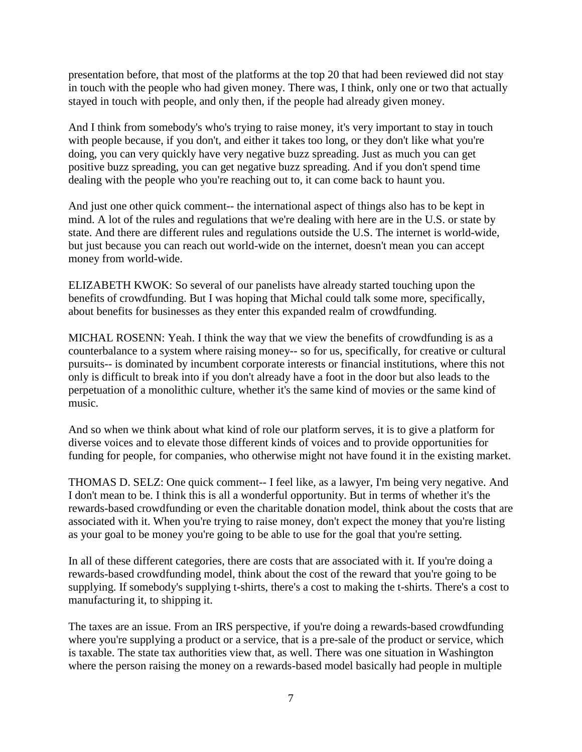presentation before, that most of the platforms at the top 20 that had been reviewed did not stay in touch with the people who had given money. There was, I think, only one or two that actually stayed in touch with people, and only then, if the people had already given money.

And I think from somebody's who's trying to raise money, it's very important to stay in touch with people because, if you don't, and either it takes too long, or they don't like what you're doing, you can very quickly have very negative buzz spreading. Just as much you can get positive buzz spreading, you can get negative buzz spreading. And if you don't spend time dealing with the people who you're reaching out to, it can come back to haunt you.

And just one other quick comment-- the international aspect of things also has to be kept in mind. A lot of the rules and regulations that we're dealing with here are in the U.S. or state by state. And there are different rules and regulations outside the U.S. The internet is world-wide, but just because you can reach out world-wide on the internet, doesn't mean you can accept money from world-wide.

ELIZABETH KWOK: So several of our panelists have already started touching upon the benefits of crowdfunding. But I was hoping that Michal could talk some more, specifically, about benefits for businesses as they enter this expanded realm of crowdfunding.

MICHAL ROSENN: Yeah. I think the way that we view the benefits of crowdfunding is as a counterbalance to a system where raising money-- so for us, specifically, for creative or cultural pursuits-- is dominated by incumbent corporate interests or financial institutions, where this not only is difficult to break into if you don't already have a foot in the door but also leads to the perpetuation of a monolithic culture, whether it's the same kind of movies or the same kind of music.

And so when we think about what kind of role our platform serves, it is to give a platform for diverse voices and to elevate those different kinds of voices and to provide opportunities for funding for people, for companies, who otherwise might not have found it in the existing market.

THOMAS D. SELZ: One quick comment-- I feel like, as a lawyer, I'm being very negative. And I don't mean to be. I think this is all a wonderful opportunity. But in terms of whether it's the rewards-based crowdfunding or even the charitable donation model, think about the costs that are associated with it. When you're trying to raise money, don't expect the money that you're listing as your goal to be money you're going to be able to use for the goal that you're setting.

In all of these different categories, there are costs that are associated with it. If you're doing a rewards-based crowdfunding model, think about the cost of the reward that you're going to be supplying. If somebody's supplying t-shirts, there's a cost to making the t-shirts. There's a cost to manufacturing it, to shipping it.

The taxes are an issue. From an IRS perspective, if you're doing a rewards-based crowdfunding where you're supplying a product or a service, that is a pre-sale of the product or service, which is taxable. The state tax authorities view that, as well. There was one situation in Washington where the person raising the money on a rewards-based model basically had people in multiple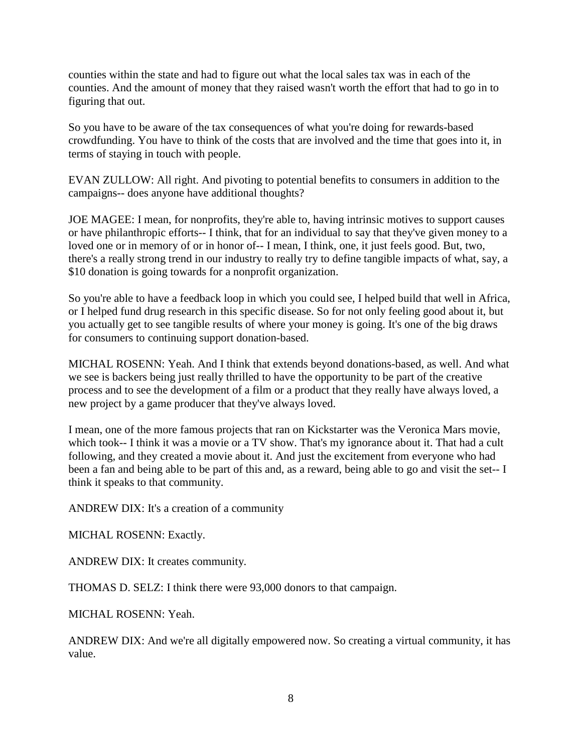counties within the state and had to figure out what the local sales tax was in each of the counties. And the amount of money that they raised wasn't worth the effort that had to go in to figuring that out.

So you have to be aware of the tax consequences of what you're doing for rewards-based crowdfunding. You have to think of the costs that are involved and the time that goes into it, in terms of staying in touch with people.

EVAN ZULLOW: All right. And pivoting to potential benefits to consumers in addition to the campaigns-- does anyone have additional thoughts?

JOE MAGEE: I mean, for nonprofits, they're able to, having intrinsic motives to support causes or have philanthropic efforts-- I think, that for an individual to say that they've given money to a loved one or in memory of or in honor of-- I mean, I think, one, it just feels good. But, two, there's a really strong trend in our industry to really try to define tangible impacts of what, say, a \$10 donation is going towards for a nonprofit organization.

So you're able to have a feedback loop in which you could see, I helped build that well in Africa, or I helped fund drug research in this specific disease. So for not only feeling good about it, but you actually get to see tangible results of where your money is going. It's one of the big draws for consumers to continuing support donation-based.

MICHAL ROSENN: Yeah. And I think that extends beyond donations-based, as well. And what we see is backers being just really thrilled to have the opportunity to be part of the creative process and to see the development of a film or a product that they really have always loved, a new project by a game producer that they've always loved.

I mean, one of the more famous projects that ran on Kickstarter was the Veronica Mars movie, which took-- I think it was a movie or a TV show. That's my ignorance about it. That had a cult following, and they created a movie about it. And just the excitement from everyone who had been a fan and being able to be part of this and, as a reward, being able to go and visit the set-- I think it speaks to that community.

ANDREW DIX: It's a creation of a community

MICHAL ROSENN: Exactly.

ANDREW DIX: It creates community.

THOMAS D. SELZ: I think there were 93,000 donors to that campaign.

MICHAL ROSENN: Yeah.

ANDREW DIX: And we're all digitally empowered now. So creating a virtual community, it has value.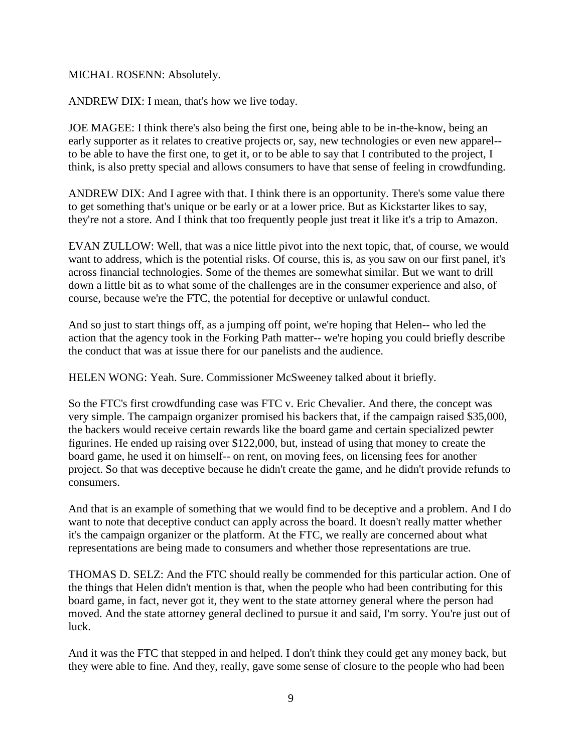## MICHAL ROSENN: Absolutely.

ANDREW DIX: I mean, that's how we live today.

JOE MAGEE: I think there's also being the first one, being able to be in-the-know, being an early supporter as it relates to creative projects or, say, new technologies or even new apparel- to be able to have the first one, to get it, or to be able to say that I contributed to the project, I think, is also pretty special and allows consumers to have that sense of feeling in crowdfunding.

ANDREW DIX: And I agree with that. I think there is an opportunity. There's some value there to get something that's unique or be early or at a lower price. But as Kickstarter likes to say, they're not a store. And I think that too frequently people just treat it like it's a trip to Amazon.

EVAN ZULLOW: Well, that was a nice little pivot into the next topic, that, of course, we would want to address, which is the potential risks. Of course, this is, as you saw on our first panel, it's across financial technologies. Some of the themes are somewhat similar. But we want to drill down a little bit as to what some of the challenges are in the consumer experience and also, of course, because we're the FTC, the potential for deceptive or unlawful conduct.

And so just to start things off, as a jumping off point, we're hoping that Helen-- who led the action that the agency took in the Forking Path matter-- we're hoping you could briefly describe the conduct that was at issue there for our panelists and the audience.

HELEN WONG: Yeah. Sure. Commissioner McSweeney talked about it briefly.

So the FTC's first crowdfunding case was FTC v. Eric Chevalier. And there, the concept was very simple. The campaign organizer promised his backers that, if the campaign raised \$35,000, the backers would receive certain rewards like the board game and certain specialized pewter figurines. He ended up raising over \$122,000, but, instead of using that money to create the board game, he used it on himself-- on rent, on moving fees, on licensing fees for another project. So that was deceptive because he didn't create the game, and he didn't provide refunds to consumers.

And that is an example of something that we would find to be deceptive and a problem. And I do want to note that deceptive conduct can apply across the board. It doesn't really matter whether it's the campaign organizer or the platform. At the FTC, we really are concerned about what representations are being made to consumers and whether those representations are true.

THOMAS D. SELZ: And the FTC should really be commended for this particular action. One of the things that Helen didn't mention is that, when the people who had been contributing for this board game, in fact, never got it, they went to the state attorney general where the person had moved. And the state attorney general declined to pursue it and said, I'm sorry. You're just out of luck.

And it was the FTC that stepped in and helped. I don't think they could get any money back, but they were able to fine. And they, really, gave some sense of closure to the people who had been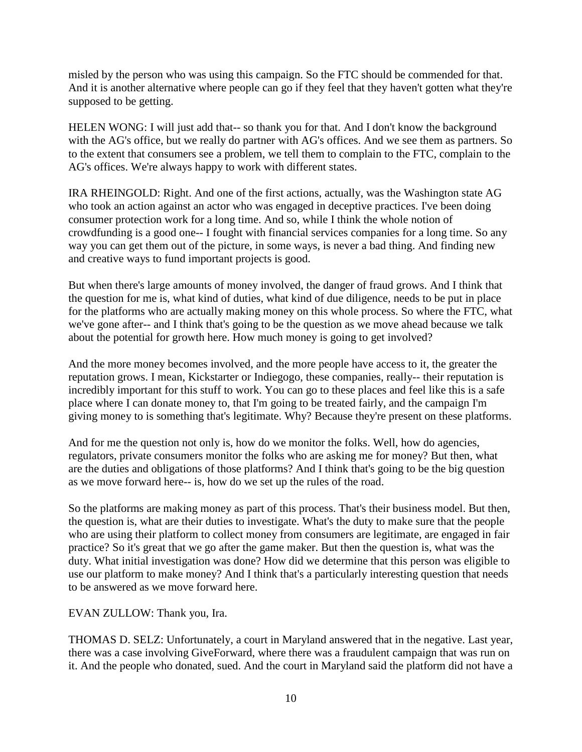misled by the person who was using this campaign. So the FTC should be commended for that. And it is another alternative where people can go if they feel that they haven't gotten what they're supposed to be getting.

HELEN WONG: I will just add that-- so thank you for that. And I don't know the background with the AG's office, but we really do partner with AG's offices. And we see them as partners. So to the extent that consumers see a problem, we tell them to complain to the FTC, complain to the AG's offices. We're always happy to work with different states.

IRA RHEINGOLD: Right. And one of the first actions, actually, was the Washington state AG who took an action against an actor who was engaged in deceptive practices. I've been doing consumer protection work for a long time. And so, while I think the whole notion of crowdfunding is a good one-- I fought with financial services companies for a long time. So any way you can get them out of the picture, in some ways, is never a bad thing. And finding new and creative ways to fund important projects is good.

But when there's large amounts of money involved, the danger of fraud grows. And I think that the question for me is, what kind of duties, what kind of due diligence, needs to be put in place for the platforms who are actually making money on this whole process. So where the FTC, what we've gone after-- and I think that's going to be the question as we move ahead because we talk about the potential for growth here. How much money is going to get involved?

And the more money becomes involved, and the more people have access to it, the greater the reputation grows. I mean, Kickstarter or Indiegogo, these companies, really-- their reputation is incredibly important for this stuff to work. You can go to these places and feel like this is a safe place where I can donate money to, that I'm going to be treated fairly, and the campaign I'm giving money to is something that's legitimate. Why? Because they're present on these platforms.

And for me the question not only is, how do we monitor the folks. Well, how do agencies, regulators, private consumers monitor the folks who are asking me for money? But then, what are the duties and obligations of those platforms? And I think that's going to be the big question as we move forward here-- is, how do we set up the rules of the road.

So the platforms are making money as part of this process. That's their business model. But then, the question is, what are their duties to investigate. What's the duty to make sure that the people who are using their platform to collect money from consumers are legitimate, are engaged in fair practice? So it's great that we go after the game maker. But then the question is, what was the duty. What initial investigation was done? How did we determine that this person was eligible to use our platform to make money? And I think that's a particularly interesting question that needs to be answered as we move forward here.

# EVAN ZULLOW: Thank you, Ira.

THOMAS D. SELZ: Unfortunately, a court in Maryland answered that in the negative. Last year, there was a case involving GiveForward, where there was a fraudulent campaign that was run on it. And the people who donated, sued. And the court in Maryland said the platform did not have a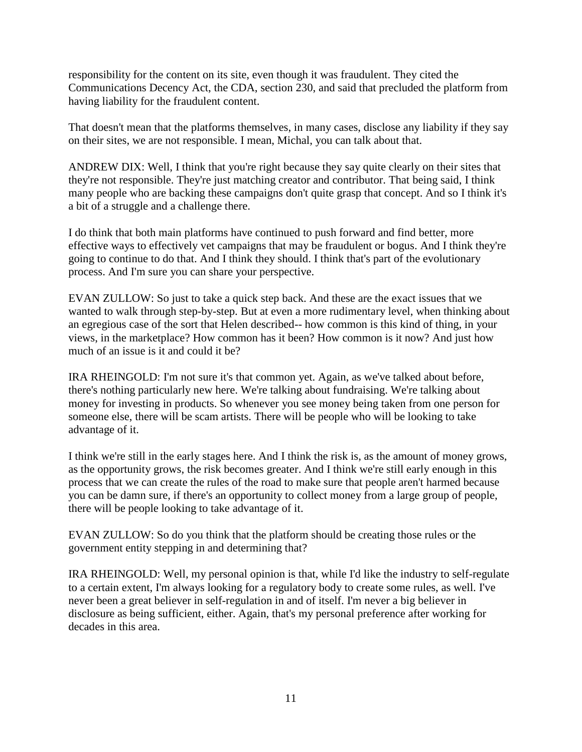responsibility for the content on its site, even though it was fraudulent. They cited the Communications Decency Act, the CDA, section 230, and said that precluded the platform from having liability for the fraudulent content.

That doesn't mean that the platforms themselves, in many cases, disclose any liability if they say on their sites, we are not responsible. I mean, Michal, you can talk about that.

ANDREW DIX: Well, I think that you're right because they say quite clearly on their sites that they're not responsible. They're just matching creator and contributor. That being said, I think many people who are backing these campaigns don't quite grasp that concept. And so I think it's a bit of a struggle and a challenge there.

I do think that both main platforms have continued to push forward and find better, more effective ways to effectively vet campaigns that may be fraudulent or bogus. And I think they're going to continue to do that. And I think they should. I think that's part of the evolutionary process. And I'm sure you can share your perspective.

EVAN ZULLOW: So just to take a quick step back. And these are the exact issues that we wanted to walk through step-by-step. But at even a more rudimentary level, when thinking about an egregious case of the sort that Helen described-- how common is this kind of thing, in your views, in the marketplace? How common has it been? How common is it now? And just how much of an issue is it and could it be?

IRA RHEINGOLD: I'm not sure it's that common yet. Again, as we've talked about before, there's nothing particularly new here. We're talking about fundraising. We're talking about money for investing in products. So whenever you see money being taken from one person for someone else, there will be scam artists. There will be people who will be looking to take advantage of it.

I think we're still in the early stages here. And I think the risk is, as the amount of money grows, as the opportunity grows, the risk becomes greater. And I think we're still early enough in this process that we can create the rules of the road to make sure that people aren't harmed because you can be damn sure, if there's an opportunity to collect money from a large group of people, there will be people looking to take advantage of it.

EVAN ZULLOW: So do you think that the platform should be creating those rules or the government entity stepping in and determining that?

IRA RHEINGOLD: Well, my personal opinion is that, while I'd like the industry to self-regulate to a certain extent, I'm always looking for a regulatory body to create some rules, as well. I've never been a great believer in self-regulation in and of itself. I'm never a big believer in disclosure as being sufficient, either. Again, that's my personal preference after working for decades in this area.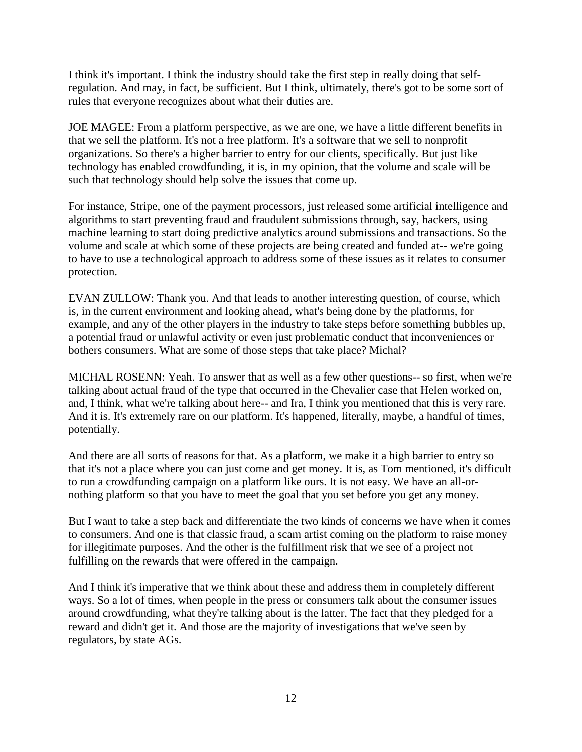I think it's important. I think the industry should take the first step in really doing that selfregulation. And may, in fact, be sufficient. But I think, ultimately, there's got to be some sort of rules that everyone recognizes about what their duties are.

JOE MAGEE: From a platform perspective, as we are one, we have a little different benefits in that we sell the platform. It's not a free platform. It's a software that we sell to nonprofit organizations. So there's a higher barrier to entry for our clients, specifically. But just like technology has enabled crowdfunding, it is, in my opinion, that the volume and scale will be such that technology should help solve the issues that come up.

For instance, Stripe, one of the payment processors, just released some artificial intelligence and algorithms to start preventing fraud and fraudulent submissions through, say, hackers, using machine learning to start doing predictive analytics around submissions and transactions. So the volume and scale at which some of these projects are being created and funded at-- we're going to have to use a technological approach to address some of these issues as it relates to consumer protection.

EVAN ZULLOW: Thank you. And that leads to another interesting question, of course, which is, in the current environment and looking ahead, what's being done by the platforms, for example, and any of the other players in the industry to take steps before something bubbles up, a potential fraud or unlawful activity or even just problematic conduct that inconveniences or bothers consumers. What are some of those steps that take place? Michal?

MICHAL ROSENN: Yeah. To answer that as well as a few other questions-- so first, when we're talking about actual fraud of the type that occurred in the Chevalier case that Helen worked on, and, I think, what we're talking about here-- and Ira, I think you mentioned that this is very rare. And it is. It's extremely rare on our platform. It's happened, literally, maybe, a handful of times, potentially.

And there are all sorts of reasons for that. As a platform, we make it a high barrier to entry so that it's not a place where you can just come and get money. It is, as Tom mentioned, it's difficult to run a crowdfunding campaign on a platform like ours. It is not easy. We have an all-ornothing platform so that you have to meet the goal that you set before you get any money.

But I want to take a step back and differentiate the two kinds of concerns we have when it comes to consumers. And one is that classic fraud, a scam artist coming on the platform to raise money for illegitimate purposes. And the other is the fulfillment risk that we see of a project not fulfilling on the rewards that were offered in the campaign.

And I think it's imperative that we think about these and address them in completely different ways. So a lot of times, when people in the press or consumers talk about the consumer issues around crowdfunding, what they're talking about is the latter. The fact that they pledged for a reward and didn't get it. And those are the majority of investigations that we've seen by regulators, by state AGs.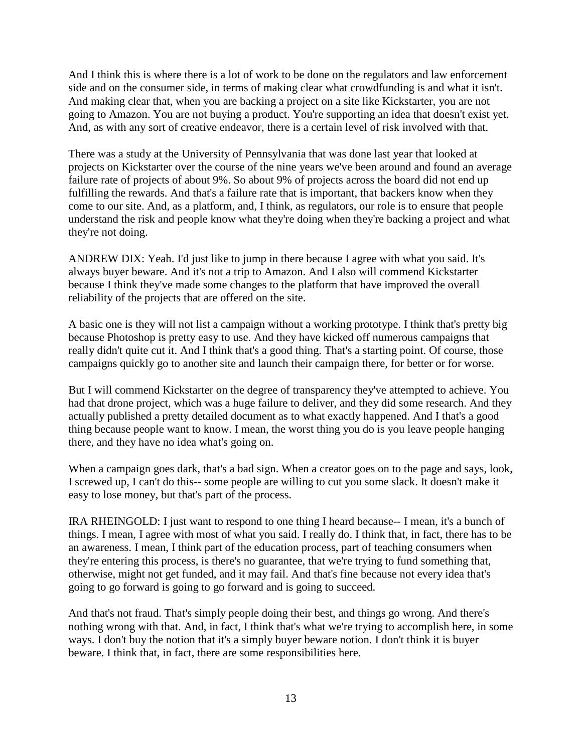And I think this is where there is a lot of work to be done on the regulators and law enforcement side and on the consumer side, in terms of making clear what crowdfunding is and what it isn't. And making clear that, when you are backing a project on a site like Kickstarter, you are not going to Amazon. You are not buying a product. You're supporting an idea that doesn't exist yet. And, as with any sort of creative endeavor, there is a certain level of risk involved with that.

There was a study at the University of Pennsylvania that was done last year that looked at projects on Kickstarter over the course of the nine years we've been around and found an average failure rate of projects of about 9%. So about 9% of projects across the board did not end up fulfilling the rewards. And that's a failure rate that is important, that backers know when they come to our site. And, as a platform, and, I think, as regulators, our role is to ensure that people understand the risk and people know what they're doing when they're backing a project and what they're not doing.

ANDREW DIX: Yeah. I'd just like to jump in there because I agree with what you said. It's always buyer beware. And it's not a trip to Amazon. And I also will commend Kickstarter because I think they've made some changes to the platform that have improved the overall reliability of the projects that are offered on the site.

A basic one is they will not list a campaign without a working prototype. I think that's pretty big because Photoshop is pretty easy to use. And they have kicked off numerous campaigns that really didn't quite cut it. And I think that's a good thing. That's a starting point. Of course, those campaigns quickly go to another site and launch their campaign there, for better or for worse.

But I will commend Kickstarter on the degree of transparency they've attempted to achieve. You had that drone project, which was a huge failure to deliver, and they did some research. And they actually published a pretty detailed document as to what exactly happened. And I that's a good thing because people want to know. I mean, the worst thing you do is you leave people hanging there, and they have no idea what's going on.

When a campaign goes dark, that's a bad sign. When a creator goes on to the page and says, look, I screwed up, I can't do this-- some people are willing to cut you some slack. It doesn't make it easy to lose money, but that's part of the process.

IRA RHEINGOLD: I just want to respond to one thing I heard because-- I mean, it's a bunch of things. I mean, I agree with most of what you said. I really do. I think that, in fact, there has to be an awareness. I mean, I think part of the education process, part of teaching consumers when they're entering this process, is there's no guarantee, that we're trying to fund something that, otherwise, might not get funded, and it may fail. And that's fine because not every idea that's going to go forward is going to go forward and is going to succeed.

And that's not fraud. That's simply people doing their best, and things go wrong. And there's nothing wrong with that. And, in fact, I think that's what we're trying to accomplish here, in some ways. I don't buy the notion that it's a simply buyer beware notion. I don't think it is buyer beware. I think that, in fact, there are some responsibilities here.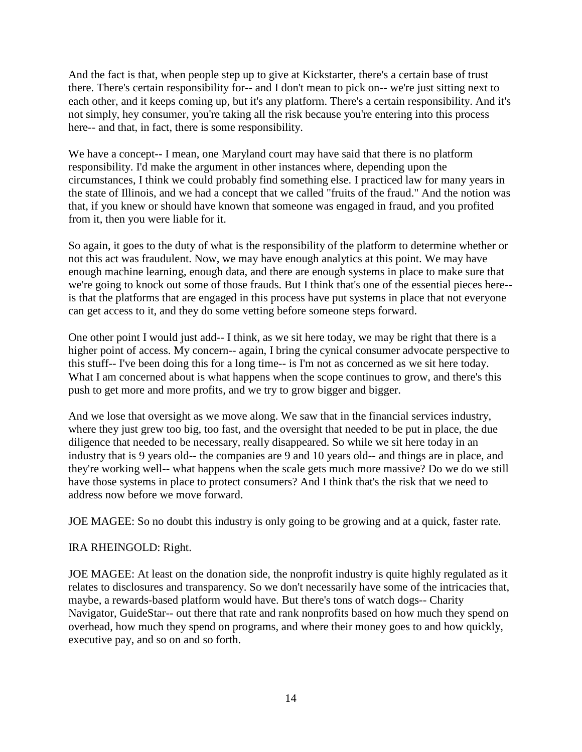And the fact is that, when people step up to give at Kickstarter, there's a certain base of trust there. There's certain responsibility for-- and I don't mean to pick on-- we're just sitting next to each other, and it keeps coming up, but it's any platform. There's a certain responsibility. And it's not simply, hey consumer, you're taking all the risk because you're entering into this process here-- and that, in fact, there is some responsibility.

We have a concept-- I mean, one Maryland court may have said that there is no platform responsibility. I'd make the argument in other instances where, depending upon the circumstances, I think we could probably find something else. I practiced law for many years in the state of Illinois, and we had a concept that we called "fruits of the fraud." And the notion was that, if you knew or should have known that someone was engaged in fraud, and you profited from it, then you were liable for it.

So again, it goes to the duty of what is the responsibility of the platform to determine whether or not this act was fraudulent. Now, we may have enough analytics at this point. We may have enough machine learning, enough data, and there are enough systems in place to make sure that we're going to knock out some of those frauds. But I think that's one of the essential pieces here- is that the platforms that are engaged in this process have put systems in place that not everyone can get access to it, and they do some vetting before someone steps forward.

One other point I would just add-- I think, as we sit here today, we may be right that there is a higher point of access. My concern-- again, I bring the cynical consumer advocate perspective to this stuff-- I've been doing this for a long time-- is I'm not as concerned as we sit here today. What I am concerned about is what happens when the scope continues to grow, and there's this push to get more and more profits, and we try to grow bigger and bigger.

And we lose that oversight as we move along. We saw that in the financial services industry, where they just grew too big, too fast, and the oversight that needed to be put in place, the due diligence that needed to be necessary, really disappeared. So while we sit here today in an industry that is 9 years old-- the companies are 9 and 10 years old-- and things are in place, and they're working well-- what happens when the scale gets much more massive? Do we do we still have those systems in place to protect consumers? And I think that's the risk that we need to address now before we move forward.

JOE MAGEE: So no doubt this industry is only going to be growing and at a quick, faster rate.

#### IRA RHEINGOLD: Right.

JOE MAGEE: At least on the donation side, the nonprofit industry is quite highly regulated as it relates to disclosures and transparency. So we don't necessarily have some of the intricacies that, maybe, a rewards-based platform would have. But there's tons of watch dogs-- Charity Navigator, GuideStar-- out there that rate and rank nonprofits based on how much they spend on overhead, how much they spend on programs, and where their money goes to and how quickly, executive pay, and so on and so forth.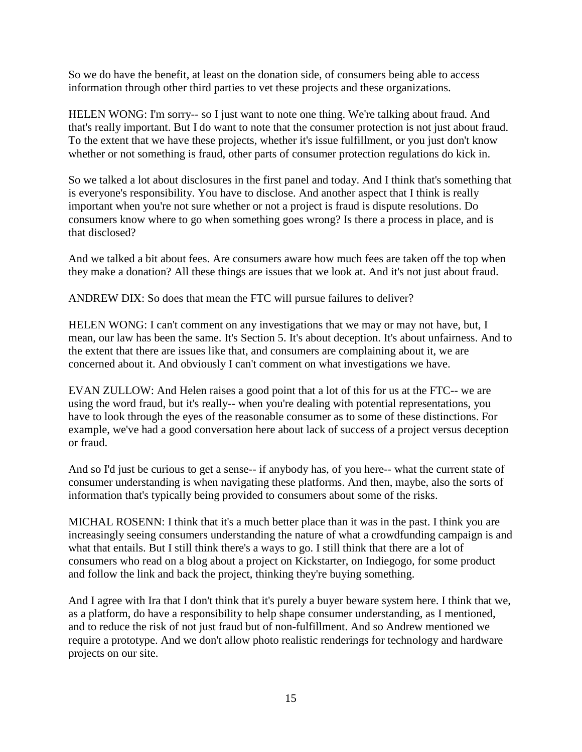So we do have the benefit, at least on the donation side, of consumers being able to access information through other third parties to vet these projects and these organizations.

HELEN WONG: I'm sorry-- so I just want to note one thing. We're talking about fraud. And that's really important. But I do want to note that the consumer protection is not just about fraud. To the extent that we have these projects, whether it's issue fulfillment, or you just don't know whether or not something is fraud, other parts of consumer protection regulations do kick in.

So we talked a lot about disclosures in the first panel and today. And I think that's something that is everyone's responsibility. You have to disclose. And another aspect that I think is really important when you're not sure whether or not a project is fraud is dispute resolutions. Do consumers know where to go when something goes wrong? Is there a process in place, and is that disclosed?

And we talked a bit about fees. Are consumers aware how much fees are taken off the top when they make a donation? All these things are issues that we look at. And it's not just about fraud.

ANDREW DIX: So does that mean the FTC will pursue failures to deliver?

HELEN WONG: I can't comment on any investigations that we may or may not have, but, I mean, our law has been the same. It's Section 5. It's about deception. It's about unfairness. And to the extent that there are issues like that, and consumers are complaining about it, we are concerned about it. And obviously I can't comment on what investigations we have.

EVAN ZULLOW: And Helen raises a good point that a lot of this for us at the FTC-- we are using the word fraud, but it's really-- when you're dealing with potential representations, you have to look through the eyes of the reasonable consumer as to some of these distinctions. For example, we've had a good conversation here about lack of success of a project versus deception or fraud.

And so I'd just be curious to get a sense-- if anybody has, of you here-- what the current state of consumer understanding is when navigating these platforms. And then, maybe, also the sorts of information that's typically being provided to consumers about some of the risks.

MICHAL ROSENN: I think that it's a much better place than it was in the past. I think you are increasingly seeing consumers understanding the nature of what a crowdfunding campaign is and what that entails. But I still think there's a ways to go. I still think that there are a lot of consumers who read on a blog about a project on Kickstarter, on Indiegogo, for some product and follow the link and back the project, thinking they're buying something.

And I agree with Ira that I don't think that it's purely a buyer beware system here. I think that we, as a platform, do have a responsibility to help shape consumer understanding, as I mentioned, and to reduce the risk of not just fraud but of non-fulfillment. And so Andrew mentioned we require a prototype. And we don't allow photo realistic renderings for technology and hardware projects on our site.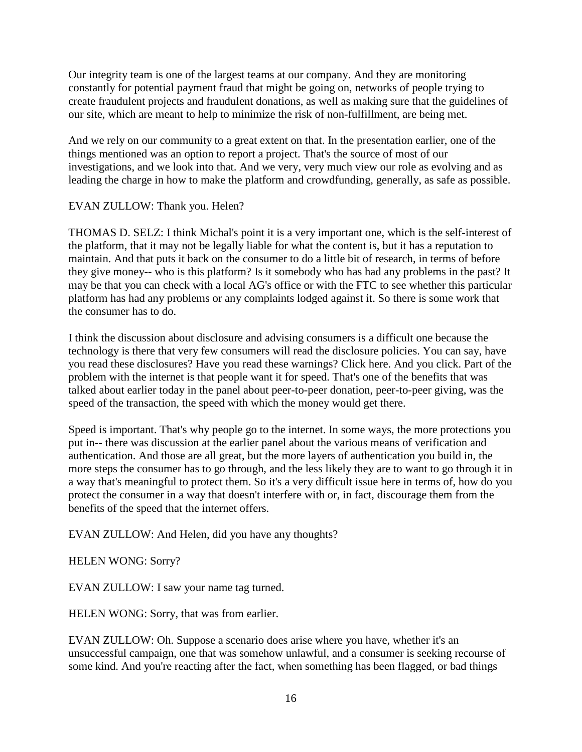Our integrity team is one of the largest teams at our company. And they are monitoring constantly for potential payment fraud that might be going on, networks of people trying to create fraudulent projects and fraudulent donations, as well as making sure that the guidelines of our site, which are meant to help to minimize the risk of non-fulfillment, are being met.

And we rely on our community to a great extent on that. In the presentation earlier, one of the things mentioned was an option to report a project. That's the source of most of our investigations, and we look into that. And we very, very much view our role as evolving and as leading the charge in how to make the platform and crowdfunding, generally, as safe as possible.

## EVAN ZULLOW: Thank you. Helen?

THOMAS D. SELZ: I think Michal's point it is a very important one, which is the self-interest of the platform, that it may not be legally liable for what the content is, but it has a reputation to maintain. And that puts it back on the consumer to do a little bit of research, in terms of before they give money-- who is this platform? Is it somebody who has had any problems in the past? It may be that you can check with a local AG's office or with the FTC to see whether this particular platform has had any problems or any complaints lodged against it. So there is some work that the consumer has to do.

I think the discussion about disclosure and advising consumers is a difficult one because the technology is there that very few consumers will read the disclosure policies. You can say, have you read these disclosures? Have you read these warnings? Click here. And you click. Part of the problem with the internet is that people want it for speed. That's one of the benefits that was talked about earlier today in the panel about peer-to-peer donation, peer-to-peer giving, was the speed of the transaction, the speed with which the money would get there.

Speed is important. That's why people go to the internet. In some ways, the more protections you put in-- there was discussion at the earlier panel about the various means of verification and authentication. And those are all great, but the more layers of authentication you build in, the more steps the consumer has to go through, and the less likely they are to want to go through it in a way that's meaningful to protect them. So it's a very difficult issue here in terms of, how do you protect the consumer in a way that doesn't interfere with or, in fact, discourage them from the benefits of the speed that the internet offers.

EVAN ZULLOW: And Helen, did you have any thoughts?

HELEN WONG: Sorry?

EVAN ZULLOW: I saw your name tag turned.

HELEN WONG: Sorry, that was from earlier.

EVAN ZULLOW: Oh. Suppose a scenario does arise where you have, whether it's an unsuccessful campaign, one that was somehow unlawful, and a consumer is seeking recourse of some kind. And you're reacting after the fact, when something has been flagged, or bad things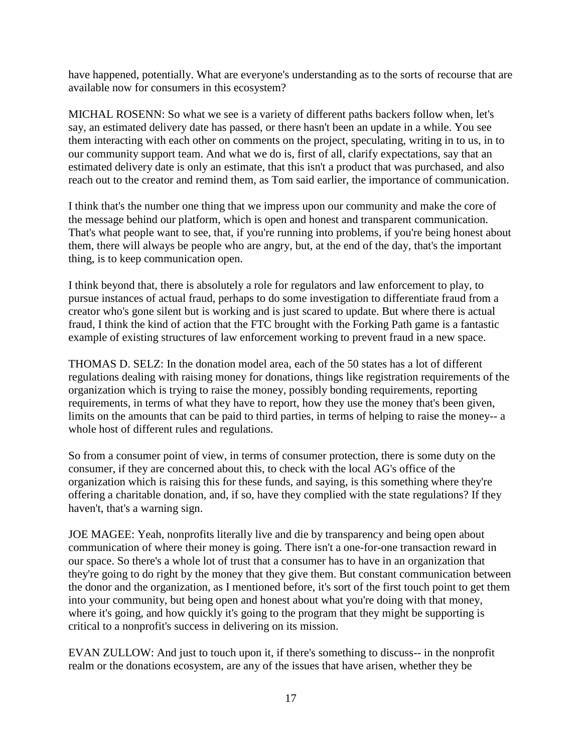have happened, potentially. What are everyone's understanding as to the sorts of recourse that are available now for consumers in this ecosystem?

MICHAL ROSENN: So what we see is a variety of different paths backers follow when, let's say, an estimated delivery date has passed, or there hasn't been an update in a while. You see them interacting with each other on comments on the project, speculating, writing in to us, in to our community support team. And what we do is, first of all, clarify expectations, say that an estimated delivery date is only an estimate, that this isn't a product that was purchased, and also reach out to the creator and remind them, as Tom said earlier, the importance of communication.

I think that's the number one thing that we impress upon our community and make the core of the message behind our platform, which is open and honest and transparent communication. That's what people want to see, that, if you're running into problems, if you're being honest about them, there will always be people who are angry, but, at the end of the day, that's the important thing, is to keep communication open.

I think beyond that, there is absolutely a role for regulators and law enforcement to play, to pursue instances of actual fraud, perhaps to do some investigation to differentiate fraud from a creator who's gone silent but is working and is just scared to update. But where there is actual fraud, I think the kind of action that the FTC brought with the Forking Path game is a fantastic example of existing structures of law enforcement working to prevent fraud in a new space.

THOMAS D. SELZ: In the donation model area, each of the 50 states has a lot of different regulations dealing with raising money for donations, things like registration requirements of the organization which is trying to raise the money, possibly bonding requirements, reporting requirements, in terms of what they have to report, how they use the money that's been given, limits on the amounts that can be paid to third parties, in terms of helping to raise the money-- a whole host of different rules and regulations.

So from a consumer point of view, in terms of consumer protection, there is some duty on the consumer, if they are concerned about this, to check with the local AG's office of the organization which is raising this for these funds, and saying, is this something where they're offering a charitable donation, and, if so, have they complied with the state regulations? If they haven't, that's a warning sign.

JOE MAGEE: Yeah, nonprofits literally live and die by transparency and being open about communication of where their money is going. There isn't a one-for-one transaction reward in our space. So there's a whole lot of trust that a consumer has to have in an organization that they're going to do right by the money that they give them. But constant communication between the donor and the organization, as I mentioned before, it's sort of the first touch point to get them into your community, but being open and honest about what you're doing with that money, where it's going, and how quickly it's going to the program that they might be supporting is critical to a nonprofit's success in delivering on its mission.

EVAN ZULLOW: And just to touch upon it, if there's something to discuss-- in the nonprofit realm or the donations ecosystem, are any of the issues that have arisen, whether they be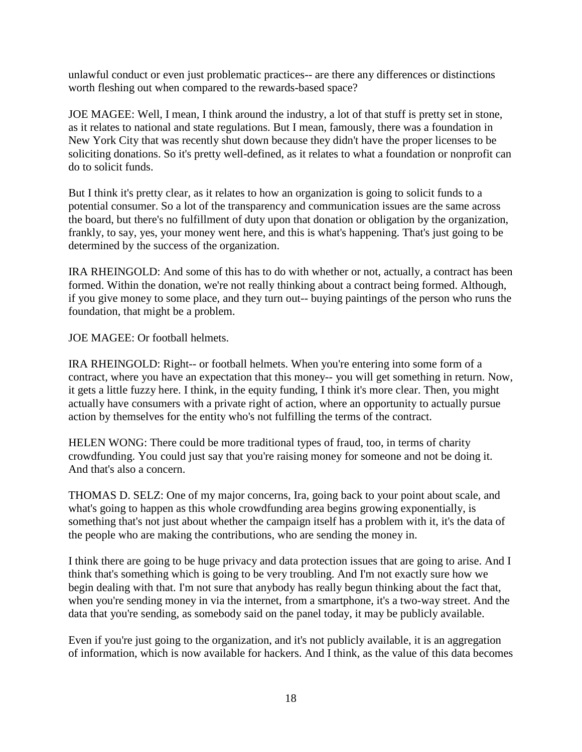unlawful conduct or even just problematic practices-- are there any differences or distinctions worth fleshing out when compared to the rewards-based space?

JOE MAGEE: Well, I mean, I think around the industry, a lot of that stuff is pretty set in stone, as it relates to national and state regulations. But I mean, famously, there was a foundation in New York City that was recently shut down because they didn't have the proper licenses to be soliciting donations. So it's pretty well-defined, as it relates to what a foundation or nonprofit can do to solicit funds.

But I think it's pretty clear, as it relates to how an organization is going to solicit funds to a potential consumer. So a lot of the transparency and communication issues are the same across the board, but there's no fulfillment of duty upon that donation or obligation by the organization, frankly, to say, yes, your money went here, and this is what's happening. That's just going to be determined by the success of the organization.

IRA RHEINGOLD: And some of this has to do with whether or not, actually, a contract has been formed. Within the donation, we're not really thinking about a contract being formed. Although, if you give money to some place, and they turn out-- buying paintings of the person who runs the foundation, that might be a problem.

JOE MAGEE: Or football helmets.

IRA RHEINGOLD: Right-- or football helmets. When you're entering into some form of a contract, where you have an expectation that this money-- you will get something in return. Now, it gets a little fuzzy here. I think, in the equity funding, I think it's more clear. Then, you might actually have consumers with a private right of action, where an opportunity to actually pursue action by themselves for the entity who's not fulfilling the terms of the contract.

HELEN WONG: There could be more traditional types of fraud, too, in terms of charity crowdfunding. You could just say that you're raising money for someone and not be doing it. And that's also a concern.

THOMAS D. SELZ: One of my major concerns, Ira, going back to your point about scale, and what's going to happen as this whole crowdfunding area begins growing exponentially, is something that's not just about whether the campaign itself has a problem with it, it's the data of the people who are making the contributions, who are sending the money in.

I think there are going to be huge privacy and data protection issues that are going to arise. And I think that's something which is going to be very troubling. And I'm not exactly sure how we begin dealing with that. I'm not sure that anybody has really begun thinking about the fact that, when you're sending money in via the internet, from a smartphone, it's a two-way street. And the data that you're sending, as somebody said on the panel today, it may be publicly available.

Even if you're just going to the organization, and it's not publicly available, it is an aggregation of information, which is now available for hackers. And I think, as the value of this data becomes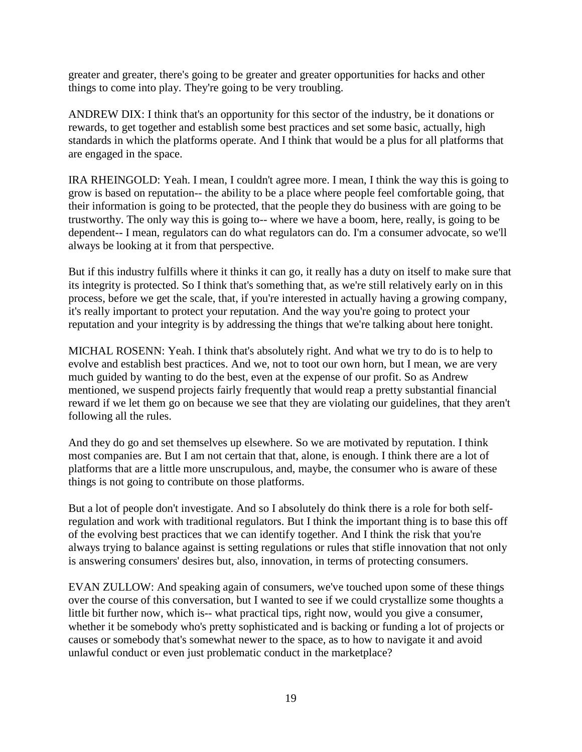greater and greater, there's going to be greater and greater opportunities for hacks and other things to come into play. They're going to be very troubling.

ANDREW DIX: I think that's an opportunity for this sector of the industry, be it donations or rewards, to get together and establish some best practices and set some basic, actually, high standards in which the platforms operate. And I think that would be a plus for all platforms that are engaged in the space.

IRA RHEINGOLD: Yeah. I mean, I couldn't agree more. I mean, I think the way this is going to grow is based on reputation-- the ability to be a place where people feel comfortable going, that their information is going to be protected, that the people they do business with are going to be trustworthy. The only way this is going to-- where we have a boom, here, really, is going to be dependent-- I mean, regulators can do what regulators can do. I'm a consumer advocate, so we'll always be looking at it from that perspective.

But if this industry fulfills where it thinks it can go, it really has a duty on itself to make sure that its integrity is protected. So I think that's something that, as we're still relatively early on in this process, before we get the scale, that, if you're interested in actually having a growing company, it's really important to protect your reputation. And the way you're going to protect your reputation and your integrity is by addressing the things that we're talking about here tonight.

MICHAL ROSENN: Yeah. I think that's absolutely right. And what we try to do is to help to evolve and establish best practices. And we, not to toot our own horn, but I mean, we are very much guided by wanting to do the best, even at the expense of our profit. So as Andrew mentioned, we suspend projects fairly frequently that would reap a pretty substantial financial reward if we let them go on because we see that they are violating our guidelines, that they aren't following all the rules.

And they do go and set themselves up elsewhere. So we are motivated by reputation. I think most companies are. But I am not certain that that, alone, is enough. I think there are a lot of platforms that are a little more unscrupulous, and, maybe, the consumer who is aware of these things is not going to contribute on those platforms.

But a lot of people don't investigate. And so I absolutely do think there is a role for both selfregulation and work with traditional regulators. But I think the important thing is to base this off of the evolving best practices that we can identify together. And I think the risk that you're always trying to balance against is setting regulations or rules that stifle innovation that not only is answering consumers' desires but, also, innovation, in terms of protecting consumers.

EVAN ZULLOW: And speaking again of consumers, we've touched upon some of these things over the course of this conversation, but I wanted to see if we could crystallize some thoughts a little bit further now, which is-- what practical tips, right now, would you give a consumer, whether it be somebody who's pretty sophisticated and is backing or funding a lot of projects or causes or somebody that's somewhat newer to the space, as to how to navigate it and avoid unlawful conduct or even just problematic conduct in the marketplace?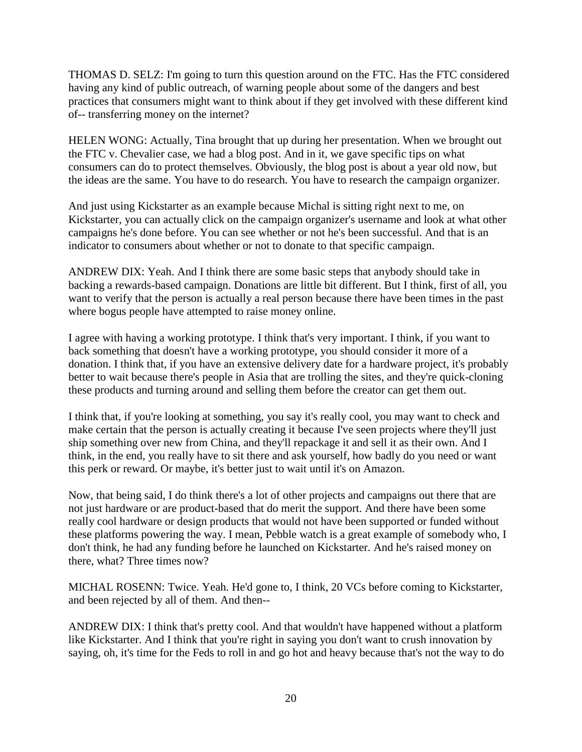THOMAS D. SELZ: I'm going to turn this question around on the FTC. Has the FTC considered having any kind of public outreach, of warning people about some of the dangers and best practices that consumers might want to think about if they get involved with these different kind of-- transferring money on the internet?

HELEN WONG: Actually, Tina brought that up during her presentation. When we brought out the FTC v. Chevalier case, we had a blog post. And in it, we gave specific tips on what consumers can do to protect themselves. Obviously, the blog post is about a year old now, but the ideas are the same. You have to do research. You have to research the campaign organizer.

And just using Kickstarter as an example because Michal is sitting right next to me, on Kickstarter, you can actually click on the campaign organizer's username and look at what other campaigns he's done before. You can see whether or not he's been successful. And that is an indicator to consumers about whether or not to donate to that specific campaign.

ANDREW DIX: Yeah. And I think there are some basic steps that anybody should take in backing a rewards-based campaign. Donations are little bit different. But I think, first of all, you want to verify that the person is actually a real person because there have been times in the past where bogus people have attempted to raise money online.

I agree with having a working prototype. I think that's very important. I think, if you want to back something that doesn't have a working prototype, you should consider it more of a donation. I think that, if you have an extensive delivery date for a hardware project, it's probably better to wait because there's people in Asia that are trolling the sites, and they're quick-cloning these products and turning around and selling them before the creator can get them out.

I think that, if you're looking at something, you say it's really cool, you may want to check and make certain that the person is actually creating it because I've seen projects where they'll just ship something over new from China, and they'll repackage it and sell it as their own. And I think, in the end, you really have to sit there and ask yourself, how badly do you need or want this perk or reward. Or maybe, it's better just to wait until it's on Amazon.

Now, that being said, I do think there's a lot of other projects and campaigns out there that are not just hardware or are product-based that do merit the support. And there have been some really cool hardware or design products that would not have been supported or funded without these platforms powering the way. I mean, Pebble watch is a great example of somebody who, I don't think, he had any funding before he launched on Kickstarter. And he's raised money on there, what? Three times now?

MICHAL ROSENN: Twice. Yeah. He'd gone to, I think, 20 VCs before coming to Kickstarter, and been rejected by all of them. And then--

ANDREW DIX: I think that's pretty cool. And that wouldn't have happened without a platform like Kickstarter. And I think that you're right in saying you don't want to crush innovation by saying, oh, it's time for the Feds to roll in and go hot and heavy because that's not the way to do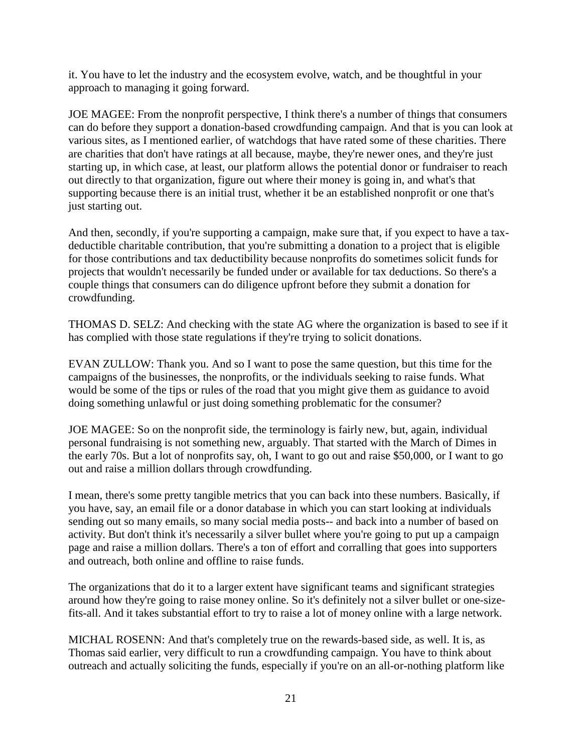it. You have to let the industry and the ecosystem evolve, watch, and be thoughtful in your approach to managing it going forward.

JOE MAGEE: From the nonprofit perspective, I think there's a number of things that consumers can do before they support a donation-based crowdfunding campaign. And that is you can look at various sites, as I mentioned earlier, of watchdogs that have rated some of these charities. There are charities that don't have ratings at all because, maybe, they're newer ones, and they're just starting up, in which case, at least, our platform allows the potential donor or fundraiser to reach out directly to that organization, figure out where their money is going in, and what's that supporting because there is an initial trust, whether it be an established nonprofit or one that's just starting out.

And then, secondly, if you're supporting a campaign, make sure that, if you expect to have a taxdeductible charitable contribution, that you're submitting a donation to a project that is eligible for those contributions and tax deductibility because nonprofits do sometimes solicit funds for projects that wouldn't necessarily be funded under or available for tax deductions. So there's a couple things that consumers can do diligence upfront before they submit a donation for crowdfunding.

THOMAS D. SELZ: And checking with the state AG where the organization is based to see if it has complied with those state regulations if they're trying to solicit donations.

EVAN ZULLOW: Thank you. And so I want to pose the same question, but this time for the campaigns of the businesses, the nonprofits, or the individuals seeking to raise funds. What would be some of the tips or rules of the road that you might give them as guidance to avoid doing something unlawful or just doing something problematic for the consumer?

JOE MAGEE: So on the nonprofit side, the terminology is fairly new, but, again, individual personal fundraising is not something new, arguably. That started with the March of Dimes in the early 70s. But a lot of nonprofits say, oh, I want to go out and raise \$50,000, or I want to go out and raise a million dollars through crowdfunding.

I mean, there's some pretty tangible metrics that you can back into these numbers. Basically, if you have, say, an email file or a donor database in which you can start looking at individuals sending out so many emails, so many social media posts-- and back into a number of based on activity. But don't think it's necessarily a silver bullet where you're going to put up a campaign page and raise a million dollars. There's a ton of effort and corralling that goes into supporters and outreach, both online and offline to raise funds.

The organizations that do it to a larger extent have significant teams and significant strategies around how they're going to raise money online. So it's definitely not a silver bullet or one-sizefits-all. And it takes substantial effort to try to raise a lot of money online with a large network.

MICHAL ROSENN: And that's completely true on the rewards-based side, as well. It is, as Thomas said earlier, very difficult to run a crowdfunding campaign. You have to think about outreach and actually soliciting the funds, especially if you're on an all-or-nothing platform like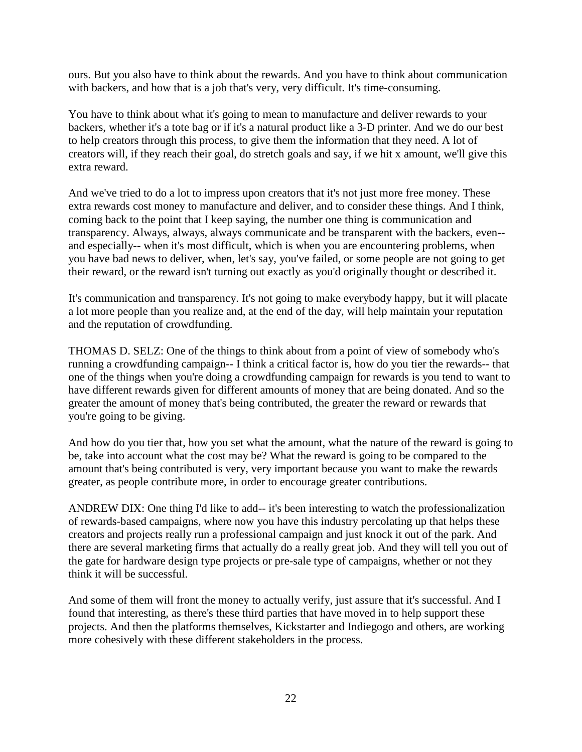ours. But you also have to think about the rewards. And you have to think about communication with backers, and how that is a job that's very, very difficult. It's time-consuming.

You have to think about what it's going to mean to manufacture and deliver rewards to your backers, whether it's a tote bag or if it's a natural product like a 3-D printer. And we do our best to help creators through this process, to give them the information that they need. A lot of creators will, if they reach their goal, do stretch goals and say, if we hit x amount, we'll give this extra reward.

And we've tried to do a lot to impress upon creators that it's not just more free money. These extra rewards cost money to manufacture and deliver, and to consider these things. And I think, coming back to the point that I keep saying, the number one thing is communication and transparency. Always, always, always communicate and be transparent with the backers, even- and especially-- when it's most difficult, which is when you are encountering problems, when you have bad news to deliver, when, let's say, you've failed, or some people are not going to get their reward, or the reward isn't turning out exactly as you'd originally thought or described it.

It's communication and transparency. It's not going to make everybody happy, but it will placate a lot more people than you realize and, at the end of the day, will help maintain your reputation and the reputation of crowdfunding.

THOMAS D. SELZ: One of the things to think about from a point of view of somebody who's running a crowdfunding campaign-- I think a critical factor is, how do you tier the rewards-- that one of the things when you're doing a crowdfunding campaign for rewards is you tend to want to have different rewards given for different amounts of money that are being donated. And so the greater the amount of money that's being contributed, the greater the reward or rewards that you're going to be giving.

And how do you tier that, how you set what the amount, what the nature of the reward is going to be, take into account what the cost may be? What the reward is going to be compared to the amount that's being contributed is very, very important because you want to make the rewards greater, as people contribute more, in order to encourage greater contributions.

ANDREW DIX: One thing I'd like to add-- it's been interesting to watch the professionalization of rewards-based campaigns, where now you have this industry percolating up that helps these creators and projects really run a professional campaign and just knock it out of the park. And there are several marketing firms that actually do a really great job. And they will tell you out of the gate for hardware design type projects or pre-sale type of campaigns, whether or not they think it will be successful.

And some of them will front the money to actually verify, just assure that it's successful. And I found that interesting, as there's these third parties that have moved in to help support these projects. And then the platforms themselves, Kickstarter and Indiegogo and others, are working more cohesively with these different stakeholders in the process.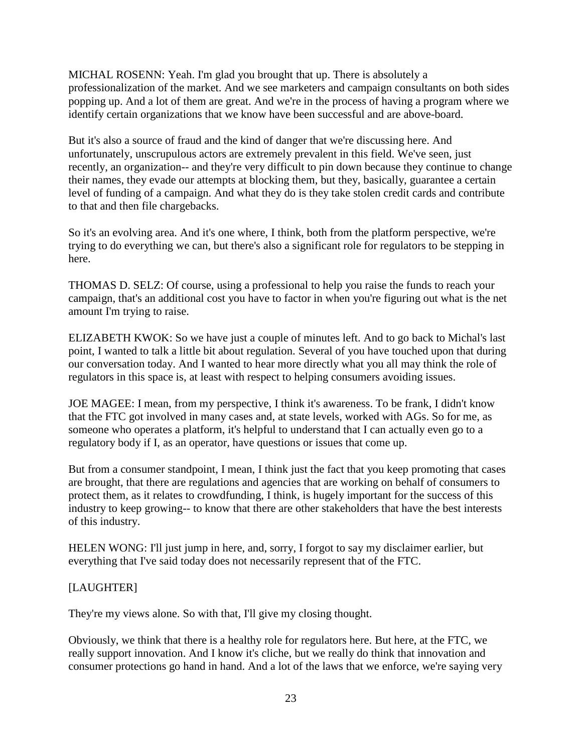MICHAL ROSENN: Yeah. I'm glad you brought that up. There is absolutely a professionalization of the market. And we see marketers and campaign consultants on both sides popping up. And a lot of them are great. And we're in the process of having a program where we identify certain organizations that we know have been successful and are above-board.

But it's also a source of fraud and the kind of danger that we're discussing here. And unfortunately, unscrupulous actors are extremely prevalent in this field. We've seen, just recently, an organization-- and they're very difficult to pin down because they continue to change their names, they evade our attempts at blocking them, but they, basically, guarantee a certain level of funding of a campaign. And what they do is they take stolen credit cards and contribute to that and then file chargebacks.

So it's an evolving area. And it's one where, I think, both from the platform perspective, we're trying to do everything we can, but there's also a significant role for regulators to be stepping in here.

THOMAS D. SELZ: Of course, using a professional to help you raise the funds to reach your campaign, that's an additional cost you have to factor in when you're figuring out what is the net amount I'm trying to raise.

ELIZABETH KWOK: So we have just a couple of minutes left. And to go back to Michal's last point, I wanted to talk a little bit about regulation. Several of you have touched upon that during our conversation today. And I wanted to hear more directly what you all may think the role of regulators in this space is, at least with respect to helping consumers avoiding issues.

JOE MAGEE: I mean, from my perspective, I think it's awareness. To be frank, I didn't know that the FTC got involved in many cases and, at state levels, worked with AGs. So for me, as someone who operates a platform, it's helpful to understand that I can actually even go to a regulatory body if I, as an operator, have questions or issues that come up.

But from a consumer standpoint, I mean, I think just the fact that you keep promoting that cases are brought, that there are regulations and agencies that are working on behalf of consumers to protect them, as it relates to crowdfunding, I think, is hugely important for the success of this industry to keep growing-- to know that there are other stakeholders that have the best interests of this industry.

HELEN WONG: I'll just jump in here, and, sorry, I forgot to say my disclaimer earlier, but everything that I've said today does not necessarily represent that of the FTC.

# [LAUGHTER]

They're my views alone. So with that, I'll give my closing thought.

Obviously, we think that there is a healthy role for regulators here. But here, at the FTC, we really support innovation. And I know it's cliche, but we really do think that innovation and consumer protections go hand in hand. And a lot of the laws that we enforce, we're saying very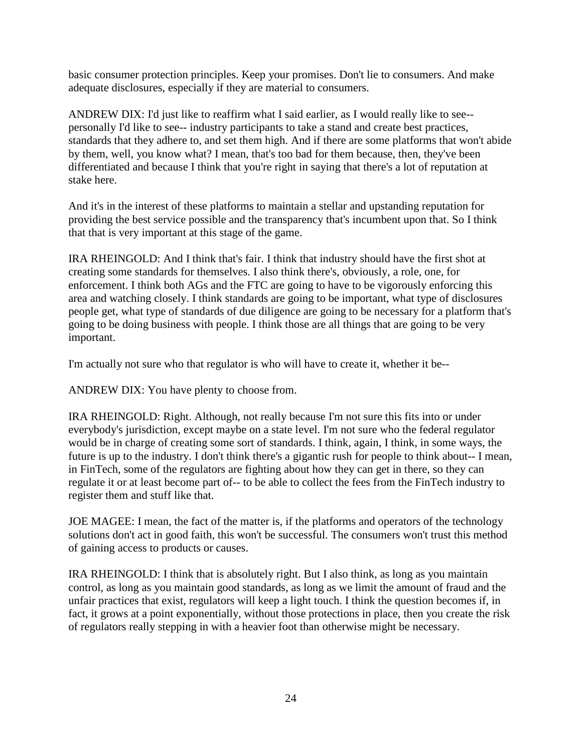basic consumer protection principles. Keep your promises. Don't lie to consumers. And make adequate disclosures, especially if they are material to consumers.

ANDREW DIX: I'd just like to reaffirm what I said earlier, as I would really like to see- personally I'd like to see-- industry participants to take a stand and create best practices, standards that they adhere to, and set them high. And if there are some platforms that won't abide by them, well, you know what? I mean, that's too bad for them because, then, they've been differentiated and because I think that you're right in saying that there's a lot of reputation at stake here.

And it's in the interest of these platforms to maintain a stellar and upstanding reputation for providing the best service possible and the transparency that's incumbent upon that. So I think that that is very important at this stage of the game.

IRA RHEINGOLD: And I think that's fair. I think that industry should have the first shot at creating some standards for themselves. I also think there's, obviously, a role, one, for enforcement. I think both AGs and the FTC are going to have to be vigorously enforcing this area and watching closely. I think standards are going to be important, what type of disclosures people get, what type of standards of due diligence are going to be necessary for a platform that's going to be doing business with people. I think those are all things that are going to be very important.

I'm actually not sure who that regulator is who will have to create it, whether it be--

ANDREW DIX: You have plenty to choose from.

IRA RHEINGOLD: Right. Although, not really because I'm not sure this fits into or under everybody's jurisdiction, except maybe on a state level. I'm not sure who the federal regulator would be in charge of creating some sort of standards. I think, again, I think, in some ways, the future is up to the industry. I don't think there's a gigantic rush for people to think about-- I mean, in FinTech, some of the regulators are fighting about how they can get in there, so they can regulate it or at least become part of-- to be able to collect the fees from the FinTech industry to register them and stuff like that.

JOE MAGEE: I mean, the fact of the matter is, if the platforms and operators of the technology solutions don't act in good faith, this won't be successful. The consumers won't trust this method of gaining access to products or causes.

IRA RHEINGOLD: I think that is absolutely right. But I also think, as long as you maintain control, as long as you maintain good standards, as long as we limit the amount of fraud and the unfair practices that exist, regulators will keep a light touch. I think the question becomes if, in fact, it grows at a point exponentially, without those protections in place, then you create the risk of regulators really stepping in with a heavier foot than otherwise might be necessary.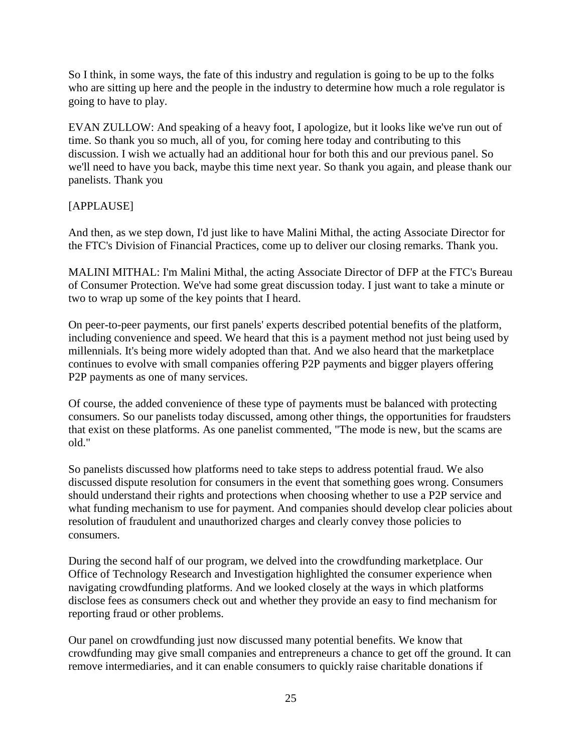So I think, in some ways, the fate of this industry and regulation is going to be up to the folks who are sitting up here and the people in the industry to determine how much a role regulator is going to have to play.

EVAN ZULLOW: And speaking of a heavy foot, I apologize, but it looks like we've run out of time. So thank you so much, all of you, for coming here today and contributing to this discussion. I wish we actually had an additional hour for both this and our previous panel. So we'll need to have you back, maybe this time next year. So thank you again, and please thank our panelists. Thank you

# [APPLAUSE]

And then, as we step down, I'd just like to have Malini Mithal, the acting Associate Director for the FTC's Division of Financial Practices, come up to deliver our closing remarks. Thank you.

MALINI MITHAL: I'm Malini Mithal, the acting Associate Director of DFP at the FTC's Bureau of Consumer Protection. We've had some great discussion today. I just want to take a minute or two to wrap up some of the key points that I heard.

On peer-to-peer payments, our first panels' experts described potential benefits of the platform, including convenience and speed. We heard that this is a payment method not just being used by millennials. It's being more widely adopted than that. And we also heard that the marketplace continues to evolve with small companies offering P2P payments and bigger players offering P2P payments as one of many services.

Of course, the added convenience of these type of payments must be balanced with protecting consumers. So our panelists today discussed, among other things, the opportunities for fraudsters that exist on these platforms. As one panelist commented, "The mode is new, but the scams are old."

So panelists discussed how platforms need to take steps to address potential fraud. We also discussed dispute resolution for consumers in the event that something goes wrong. Consumers should understand their rights and protections when choosing whether to use a P2P service and what funding mechanism to use for payment. And companies should develop clear policies about resolution of fraudulent and unauthorized charges and clearly convey those policies to consumers.

During the second half of our program, we delved into the crowdfunding marketplace. Our Office of Technology Research and Investigation highlighted the consumer experience when navigating crowdfunding platforms. And we looked closely at the ways in which platforms disclose fees as consumers check out and whether they provide an easy to find mechanism for reporting fraud or other problems.

Our panel on crowdfunding just now discussed many potential benefits. We know that crowdfunding may give small companies and entrepreneurs a chance to get off the ground. It can remove intermediaries, and it can enable consumers to quickly raise charitable donations if